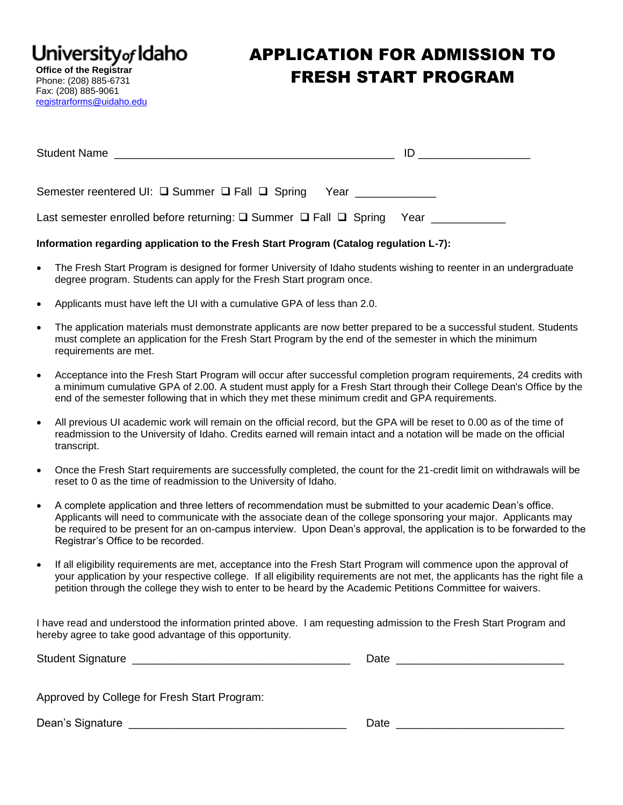University<sub>of</sub> Idaho

**Office of the Registrar** Phone: (208) 885-6731 Fax: (208) 885-9061 [registrarforms@uidaho.edu](mailto:registrarforms@uidaho.edu)

## APPLICATION FOR ADMISSION TO FRESH START PROGRAM

| <b>Student Name</b>                                               | ID |
|-------------------------------------------------------------------|----|
|                                                                   |    |
| Semester reentered UI: □ Summer □ Fall □ Spring Year ____________ |    |
|                                                                   |    |

## **Information regarding application to the Fresh Start Program (Catalog regulation L-7):**

- The Fresh Start Program is designed for former University of Idaho students wishing to reenter in an undergraduate degree program. Students can apply for the Fresh Start program once.
- Applicants must have left the UI with a cumulative GPA of less than 2.0.
- The application materials must demonstrate applicants are now better prepared to be a successful student. Students must complete an application for the Fresh Start Program by the end of the semester in which the minimum requirements are met.
- Acceptance into the Fresh Start Program will occur after successful completion program requirements, 24 credits with a minimum cumulative GPA of 2.00. A student must apply for a Fresh Start through their College Dean's Office by the end of the semester following that in which they met these minimum credit and GPA requirements.
- All previous UI academic work will remain on the official record, but the GPA will be reset to 0.00 as of the time of readmission to the University of Idaho. Credits earned will remain intact and a notation will be made on the official transcript.
- Once the Fresh Start requirements are successfully completed, the count for the 21-credit limit on withdrawals will be reset to 0 as the time of readmission to the University of Idaho.
- A complete application and three letters of recommendation must be submitted to your academic Dean's office. Applicants will need to communicate with the associate dean of the college sponsoring your major. Applicants may be required to be present for an on-campus interview. Upon Dean's approval, the application is to be forwarded to the Registrar's Office to be recorded.
- If all eligibility requirements are met, acceptance into the Fresh Start Program will commence upon the approval of your application by your respective college. If all eligibility requirements are not met, the applicants has the right file a petition through the college they wish to enter to be heard by the Academic Petitions Committee for waivers.

I have read and understood the information printed above. I am requesting admission to the Fresh Start Program and hereby agree to take good advantage of this opportunity.

| <b>Student Signature</b> | - Date |  |
|--------------------------|--------|--|
|                          |        |  |

Approved by College for Fresh Start Program:

Dean's Signature \_\_\_\_\_\_\_\_\_\_\_\_\_\_\_\_\_\_\_\_\_\_\_\_\_\_\_\_\_\_\_\_\_\_\_ Date \_\_\_\_\_\_\_\_\_\_\_\_\_\_\_\_\_\_\_\_\_\_\_\_\_\_\_